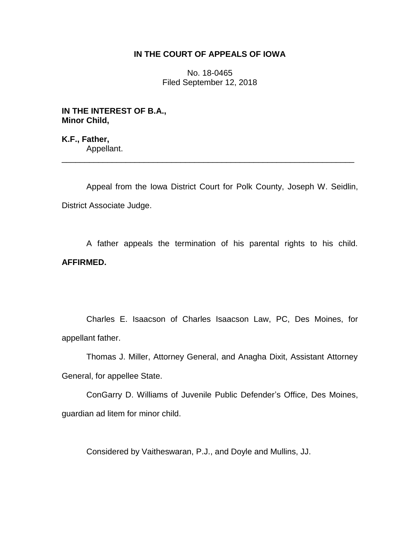## **IN THE COURT OF APPEALS OF IOWA**

No. 18-0465 Filed September 12, 2018

**IN THE INTEREST OF B.A., Minor Child,**

**K.F., Father,** Appellant. \_\_\_\_\_\_\_\_\_\_\_\_\_\_\_\_\_\_\_\_\_\_\_\_\_\_\_\_\_\_\_\_\_\_\_\_\_\_\_\_\_\_\_\_\_\_\_\_\_\_\_\_\_\_\_\_\_\_\_\_\_\_\_\_

Appeal from the Iowa District Court for Polk County, Joseph W. Seidlin, District Associate Judge.

A father appeals the termination of his parental rights to his child. **AFFIRMED.**

Charles E. Isaacson of Charles Isaacson Law, PC, Des Moines, for appellant father.

Thomas J. Miller, Attorney General, and Anagha Dixit, Assistant Attorney General, for appellee State.

ConGarry D. Williams of Juvenile Public Defender's Office, Des Moines, guardian ad litem for minor child.

Considered by Vaitheswaran, P.J., and Doyle and Mullins, JJ.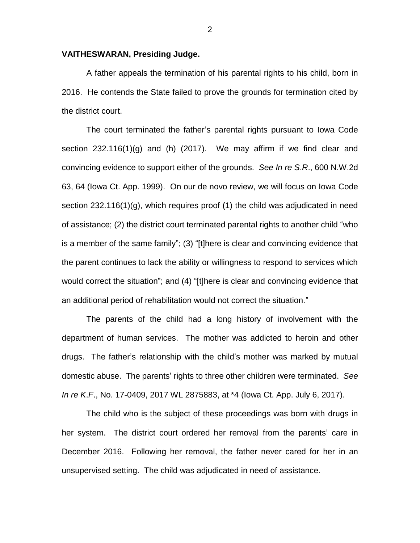## **VAITHESWARAN, Presiding Judge.**

A father appeals the termination of his parental rights to his child, born in 2016. He contends the State failed to prove the grounds for termination cited by the district court.

The court terminated the father's parental rights pursuant to Iowa Code section 232.116(1)(g) and (h) (2017). We may affirm if we find clear and convincing evidence to support either of the grounds. *See In re S*.*R*., 600 N.W.2d 63, 64 (Iowa Ct. App. 1999). On our de novo review, we will focus on Iowa Code section 232.116(1)(g), which requires proof (1) the child was adjudicated in need of assistance; (2) the district court terminated parental rights to another child "who is a member of the same family"; (3) "[t]here is clear and convincing evidence that the parent continues to lack the ability or willingness to respond to services which would correct the situation"; and (4) "[t]here is clear and convincing evidence that an additional period of rehabilitation would not correct the situation."

The parents of the child had a long history of involvement with the department of human services. The mother was addicted to heroin and other drugs. The father's relationship with the child's mother was marked by mutual domestic abuse. The parents' rights to three other children were terminated. *See In re K*.*F*., No. 17-0409, 2017 WL 2875883, at \*4 (Iowa Ct. App. July 6, 2017).

The child who is the subject of these proceedings was born with drugs in her system. The district court ordered her removal from the parents' care in December 2016. Following her removal, the father never cared for her in an unsupervised setting. The child was adjudicated in need of assistance.

2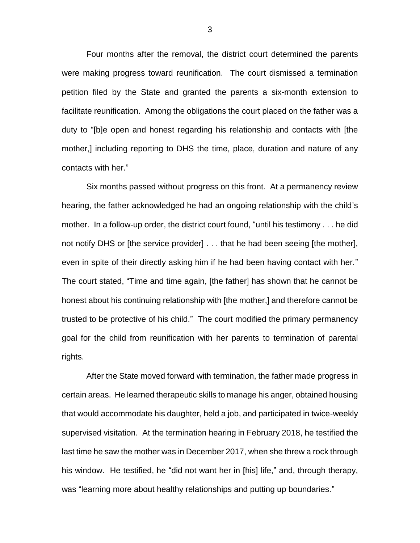Four months after the removal, the district court determined the parents were making progress toward reunification. The court dismissed a termination petition filed by the State and granted the parents a six-month extension to facilitate reunification. Among the obligations the court placed on the father was a duty to "[b]e open and honest regarding his relationship and contacts with [the mother,] including reporting to DHS the time, place, duration and nature of any contacts with her."

Six months passed without progress on this front. At a permanency review hearing, the father acknowledged he had an ongoing relationship with the child's mother. In a follow-up order, the district court found, "until his testimony . . . he did not notify DHS or [the service provider] . . . that he had been seeing [the mother], even in spite of their directly asking him if he had been having contact with her." The court stated, "Time and time again, [the father] has shown that he cannot be honest about his continuing relationship with [the mother,] and therefore cannot be trusted to be protective of his child." The court modified the primary permanency goal for the child from reunification with her parents to termination of parental rights.

After the State moved forward with termination, the father made progress in certain areas. He learned therapeutic skills to manage his anger, obtained housing that would accommodate his daughter, held a job, and participated in twice-weekly supervised visitation. At the termination hearing in February 2018, he testified the last time he saw the mother was in December 2017, when she threw a rock through his window. He testified, he "did not want her in [his] life," and, through therapy, was "learning more about healthy relationships and putting up boundaries."

3